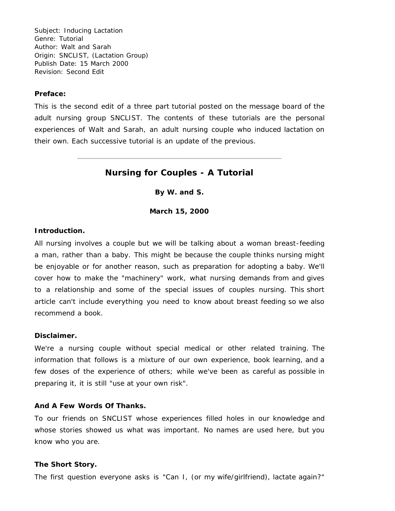Subject: Inducing Lactation Genre: Tutorial Author: Walt and Sarah Origin: SNCLIST, (Lactation Group) Publish Date: 15 March 2000 Revision: Second Edit

### **Preface:**

This is the second edit of a three part tutorial posted on the message board of the adult nursing group SNCLIST. The contents of these tutorials are the personal experiences of Walt and Sarah, an adult nursing couple who induced lactation on their own. Each successive tutorial is an update of the previous.

# **Nursing for Couples - A Tutorial**

**By W. and S.**

**March 15, 2000**

# **Introduction.**

All nursing involves a couple but we will be talking about a woman breast-feeding a man, rather than a baby. This might be because the couple thinks nursing might be enjoyable or for another reason, such as preparation for adopting a baby. We'll cover how to make the "machinery" work, what nursing demands from and gives to a relationship and some of the special issues of couples nursing. This short article can't include everything you need to know about breast feeding so we also recommend a book.

#### **Disclaimer.**

We're a nursing couple without special medical or other related training. The information that follows is a mixture of our own experience, book learning, and a few doses of the experience of others; while we've been as careful as possible in preparing it, it is still "use at your own risk".

## **And A Few Words Of Thanks.**

To our friends on SNCLIST whose experiences filled holes in our knowledge and whose stories showed us what was important. No names are used here, but you know who you are.

## **The Short Story.**

The first question everyone asks is "Can I, (or my wife/girlfriend), lactate again?"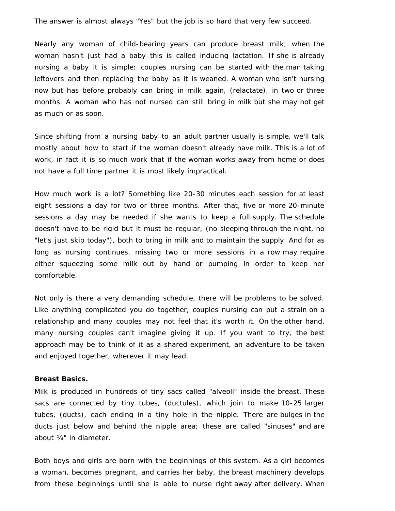The answer is almost always "Yes" but the job is so hard that very few succeed.

Nearly any woman of child-bearing years can produce breast milk; when the woman hasn't just had a baby this is called inducing lactation. If she is already nursing a baby it is simple: couples nursing can be started with the man taking leftovers and then replacing the baby as it is weaned. A woman who isn't nursing now but has before probably can bring in milk again, (relactate), in two or three months. A woman who has not nursed can still bring in milk but she may not get as much or as soon.

Since shifting from a nursing baby to an adult partner usually is simple, we'll talk mostly about how to start if the woman doesn't already have milk. This is a lot of work, in fact it is so much work that if the woman works away from home or does not have a full time partner it is most likely impractical.

How much work is a lot? Something like 20-30 minutes each session for at least eight sessions a day for two or three months. After that, five or more 20-minute sessions a day may be needed if she wants to keep a full supply. The schedule doesn't have to be rigid but it must be regular, (no sleeping through the night, no "let's just skip today"), both to bring in milk and to maintain the supply. And for as long as nursing continues, missing two or more sessions in a row may require either squeezing some milk out by hand or pumping in order to keep her comfortable.

Not only is there a very demanding schedule, there will be problems to be solved. Like anything complicated you do together, couples nursing can put a strain on a relationship and many couples may not feel that it's worth it. On the other hand, many nursing couples can't imagine giving it up. If you want to try, the best approach may be to think of it as a shared experiment, an adventure to be taken and enjoyed together, wherever it may lead.

#### **Breast Basics.**

Milk is produced in hundreds of tiny sacs called "alveoli" inside the breast. These sacs are connected by tiny tubes, (ductules), which join to make 10-25 larger tubes, (ducts), each ending in a tiny hole in the nipple. There are bulges in the ducts just below and behind the nipple area; these are called "sinuses" and are about ¼" in diameter.

Both boys and girls are born with the beginnings of this system. As a girl becomes a woman, becomes pregnant, and carries her baby, the breast machinery develops from these beginnings until she is able to nurse right away after delivery. When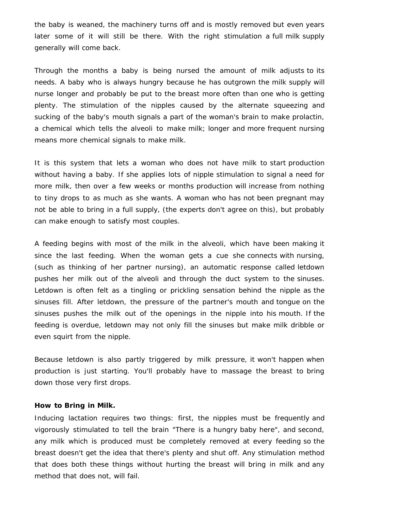the baby is weaned, the machinery turns off and is mostly removed but even years later some of it will still be there. With the right stimulation a full milk supply generally will come back.

Through the months a baby is being nursed the amount of milk adjusts to its needs. A baby who is always hungry because he has outgrown the milk supply will nurse longer and probably be put to the breast more often than one who is getting plenty. The stimulation of the nipples caused by the alternate squeezing and sucking of the baby's mouth signals a part of the woman's brain to make prolactin, a chemical which tells the alveoli to make milk; longer and more frequent nursing means more chemical signals to make milk.

It is this system that lets a woman who does not have milk to start production without having a baby. If she applies lots of nipple stimulation to signal a need for more milk, then over a few weeks or months production will increase from nothing to tiny drops to as much as she wants. A woman who has not been pregnant may not be able to bring in a full supply, (the experts don't agree on this), but probably can make enough to satisfy most couples.

A feeding begins with most of the milk in the alveoli, which have been making it since the last feeding. When the woman gets a cue she connects with nursing, (such as thinking of her partner nursing), an automatic response called letdown pushes her milk out of the alveoli and through the duct system to the sinuses. Letdown is often felt as a tingling or prickling sensation behind the nipple as the sinuses fill. After letdown, the pressure of the partner's mouth and tongue on the sinuses pushes the milk out of the openings in the nipple into his mouth. If the feeding is overdue, letdown may not only fill the sinuses but make milk dribble or even squirt from the nipple.

Because letdown is also partly triggered by milk pressure, it won't happen when production is just starting. You'll probably have to massage the breast to bring down those very first drops.

### **How to Bring in Milk.**

Inducing lactation requires two things: first, the nipples must be frequently and vigorously stimulated to tell the brain "There is a hungry baby here", and second, any milk which is produced must be completely removed at every feeding so the breast doesn't get the idea that there's plenty and shut off. Any stimulation method that does both these things without hurting the breast will bring in milk and any method that does not, will fail.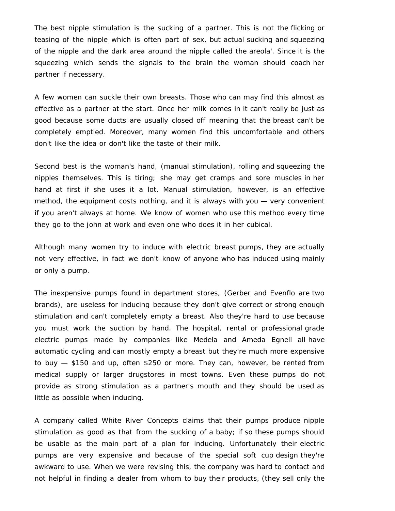The best nipple stimulation is the sucking of a partner. This is not the flicking or teasing of the nipple which is often part of sex, but actual sucking and squeezing of the nipple and the dark area around the nipple called the areola'. Since it is the squeezing which sends the signals to the brain the woman should coach her partner if necessary.

A few women can suckle their own breasts. Those who can may find this almost as effective as a partner at the start. Once her milk comes in it can't really be just as good because some ducts are usually closed off meaning that the breast can't be completely emptied. Moreover, many women find this uncomfortable and others don't like the idea or don't like the taste of their milk.

Second best is the woman's hand, (manual stimulation), rolling and squeezing the nipples themselves. This is tiring; she may get cramps and sore muscles in her hand at first if she uses it a lot. Manual stimulation, however, is an effective method, the equipment costs nothing, and it is always with you — very convenient if you aren't always at home. We know of women who use this method every time they go to the john at work and even one who does it in her cubical.

Although many women try to induce with electric breast pumps, they are actually not very effective, in fact we don't know of anyone who has induced using mainly or only a pump.

The inexpensive pumps found in department stores, (Gerber and Evenflo are two brands), are useless for inducing because they don't give correct or strong enough stimulation and can't completely empty a breast. Also they're hard to use because you must work the suction by hand. The hospital, rental or professional grade electric pumps made by companies like Medela and Ameda Egnell all have automatic cycling and can mostly empty a breast but they're much more expensive to buy — \$150 and up, often \$250 or more. They can, however, be rented from medical supply or larger drugstores in most towns. Even these pumps do not provide as strong stimulation as a partner's mouth and they should be used as little as possible when inducing.

A company called White River Concepts claims that their pumps produce nipple stimulation as good as that from the sucking of a baby; if so these pumps should be usable as the main part of a plan for inducing. Unfortunately their electric pumps are very expensive and because of the special soft cup design they're awkward to use. When we were revising this, the company was hard to contact and not helpful in finding a dealer from whom to buy their products, (they sell only the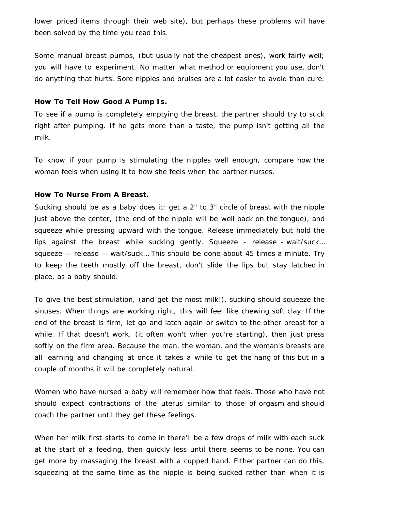lower priced items through their web site), but perhaps these problems will have been solved by the time you read this.

Some manual breast pumps, (but usually not the cheapest ones), work fairly well; you will have to experiment. No matter what method or equipment you use, don't do anything that hurts. Sore nipples and bruises are a lot easier to avoid than cure.

## **How To Tell How Good A Pump Is.**

To see if a pump is completely emptying the breast, the partner should try to suck right after pumping. If he gets more than a taste, the pump isn't getting all the milk.

To know if your pump is stimulating the nipples well enough, compare how the woman feels when using it to how she feels when the partner nurses.

## **How To Nurse From A Breast.**

Sucking should be as a baby does it: get a 2" to 3" circle of breast with the nipple just above the center, (the end of the nipple will be well back on the tongue), and squeeze while pressing upward with the tongue. Release immediately but hold the lips against the breast while sucking gently. Squeeze - release - wait/suck… squeeze — release — wait/suck… This should be done about 45 times a minute. Try to keep the teeth mostly off the breast, don't slide the lips but stay latched in place, as a baby should.

To give the best stimulation, (and get the most milk!), sucking should squeeze the sinuses. When things are working right, this will feel like chewing soft clay. If the end of the breast is firm, let go and latch again or switch to the other breast for a while. If that doesn't work, (it often won't when you're starting), then just press softly on the firm area. Because the man, the woman, and the woman's breasts are all learning and changing at once it takes a while to get the hang of this but in a couple of months it will be completely natural.

Women who have nursed a baby will remember how that feels. Those who have not should expect contractions of the uterus similar to those of orgasm and should coach the partner until they get these feelings.

When her milk first starts to come in there'll be a few drops of milk with each suck at the start of a feeding, then quickly less until there seems to be none. You can get more by massaging the breast with a cupped hand. Either partner can do this, squeezing at the same time as the nipple is being sucked rather than when it is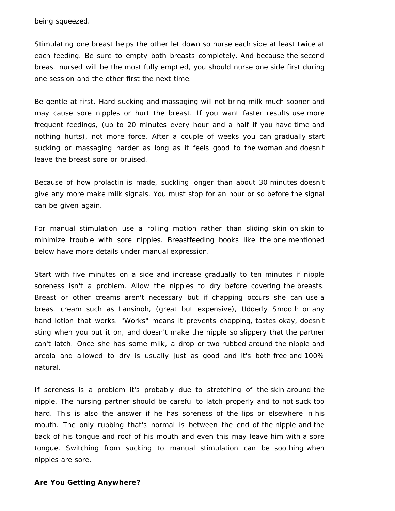being squeezed.

Stimulating one breast helps the other let down so nurse each side at least twice at each feeding. Be sure to empty both breasts completely. And because the second breast nursed will be the most fully emptied, you should nurse one side first during one session and the other first the next time.

Be gentle at first. Hard sucking and massaging will not bring milk much sooner and may cause sore nipples or hurt the breast. If you want faster results use more frequent feedings, (up to 20 minutes every hour and a half if you have time and nothing hurts), not more force. After a couple of weeks you can gradually start sucking or massaging harder as long as it feels good to the woman and doesn't leave the breast sore or bruised.

Because of how prolactin is made, suckling longer than about 30 minutes doesn't give any more make milk signals. You must stop for an hour or so before the signal can be given again.

For manual stimulation use a rolling motion rather than sliding skin on skin to minimize trouble with sore nipples. Breastfeeding books like the one mentioned below have more details under manual expression.

Start with five minutes on a side and increase gradually to ten minutes if nipple soreness isn't a problem. Allow the nipples to dry before covering the breasts. Breast or other creams aren't necessary but if chapping occurs she can use a breast cream such as Lansinoh, (great but expensive), Udderly Smooth or any hand lotion that works. "Works" means it prevents chapping, tastes okay, doesn't sting when you put it on, and doesn't make the nipple so slippery that the partner can't latch. Once she has some milk, a drop or two rubbed around the nipple and areola and allowed to dry is usually just as good and it's both free and 100% natural.

If soreness is a problem it's probably due to stretching of the skin around the nipple. The nursing partner should be careful to latch properly and to not suck too hard. This is also the answer if he has soreness of the lips or elsewhere in his mouth. The only rubbing that's normal is between the end of the nipple and the back of his tongue and roof of his mouth and even this may leave him with a sore tongue. Switching from sucking to manual stimulation can be soothing when nipples are sore.

#### **Are You Getting Anywhere?**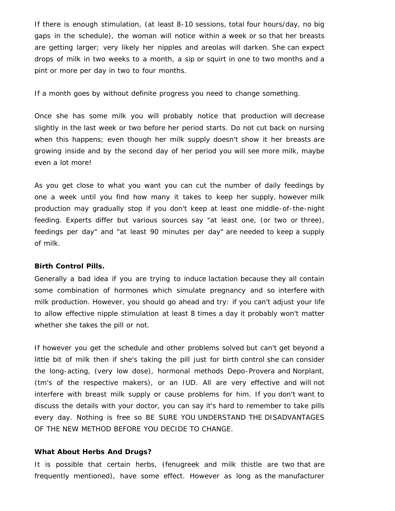If there is enough stimulation, (at least 8-10 sessions, total four hours/day, no big gaps in the schedule), the woman will notice within a week or so that her breasts are getting larger; very likely her nipples and areolas will darken. She can expect drops of milk in two weeks to a month, a sip or squirt in one to two months and a pint or more per day in two to four months.

If a month goes by without definite progress you need to change something.

Once she has some milk you will probably notice that production will decrease slightly in the last week or two before her period starts. Do not cut back on nursing when this happens; even though her milk supply doesn't show it her breasts are growing inside and by the second day of her period you will see more milk, maybe even a lot more!

As you get close to what you want you can cut the number of daily feedings by one a week until you find how many it takes to keep her supply, however milk production may gradually stop if you don't keep at least one middle-of-the-night feeding. Experts differ but various sources say "at least one, (or two or three), feedings per day" and "at least 90 minutes per day" are needed to keep a supply of milk.

#### **Birth Control Pills.**

Generally a bad idea if you are trying to induce lactation because they all contain some combination of hormones which simulate pregnancy and so interfere with milk production. However, you should go ahead and try: if you can't adjust your life to allow effective nipple stimulation at least 8 times a day it probably won't matter whether she takes the pill or not.

If however you get the schedule and other problems solved but can't get beyond a little bit of milk then if she's taking the pill just for birth control she can consider the long-acting, (very low dose), hormonal methods Depo-Provera and Norplant, (tm's of the respective makers), or an IUD. All are very effective and will not interfere with breast milk supply or cause problems for him. If you don't want to discuss the details with your doctor, you can say it's hard to remember to take pills every day. Nothing is free so BE SURE YOU UNDERSTAND THE DISADVANTAGES OF THE NEW METHOD BEFORE YOU DECIDE TO CHANGE.

#### **What About Herbs And Drugs?**

It is possible that certain herbs, (fenugreek and milk thistle are two that are frequently mentioned), have some effect. However as long as the manufacturer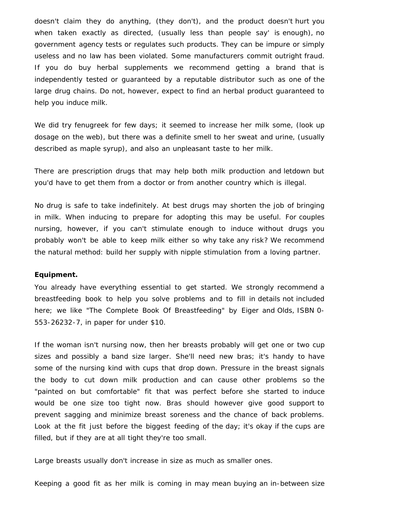doesn't claim they do anything, (they don't), and the product doesn't hurt you when taken exactly as directed, (usually less than people say' is enough), no government agency tests or regulates such products. They can be impure or simply useless and no law has been violated. Some manufacturers commit outright fraud. If you do buy herbal supplements we recommend getting a brand that is independently tested or guaranteed by a reputable distributor such as one of the large drug chains. Do not, however, expect to find an herbal product guaranteed to help you induce milk.

We did try fenugreek for few days; it seemed to increase her milk some, (look up dosage on the web), but there was a definite smell to her sweat and urine, (usually described as maple syrup), and also an unpleasant taste to her milk.

There are prescription drugs that may help both milk production and letdown but you'd have to get them from a doctor or from another country which is illegal.

No drug is safe to take indefinitely. At best drugs may shorten the job of bringing in milk. When inducing to prepare for adopting this may be useful. For couples nursing, however, if you can't stimulate enough to induce without drugs you probably won't be able to keep milk either so why take any risk? We recommend the natural method: build her supply with nipple stimulation from a loving partner.

#### **Equipment.**

You already have everything essential to get started. We strongly recommend a breastfeeding book to help you solve problems and to fill in details not included here; we like "The Complete Book Of Breastfeeding" by Eiger and Olds, ISBN 0- 553-26232-7, in paper for under \$10.

If the woman isn't nursing now, then her breasts probably will get one or two cup sizes and possibly a band size larger. She'll need new bras; it's handy to have some of the nursing kind with cups that drop down. Pressure in the breast signals the body to cut down milk production and can cause other problems so the "painted on but comfortable" fit that was perfect before she started to induce would be one size too tight now. Bras should however give good support to prevent sagging and minimize breast soreness and the chance of back problems. Look at the fit just before the biggest feeding of the day; it's okay if the cups are filled, but if they are at all tight they're too small.

Large breasts usually don't increase in size as much as smaller ones.

Keeping a good fit as her milk is coming in may mean buying an in-between size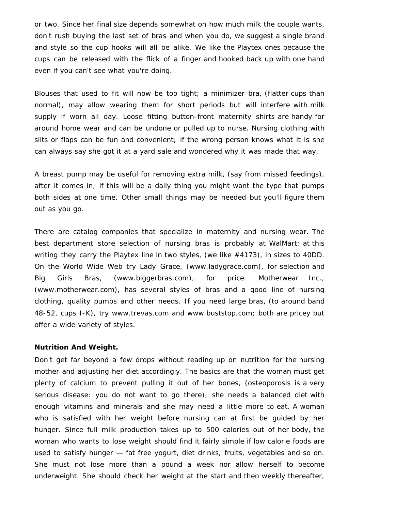or two. Since her final size depends somewhat on how much milk the couple wants, don't rush buying the last set of bras and when you do, we suggest a single brand and style so the cup hooks will all be alike. We like the Playtex ones because the cups can be released with the flick of a finger and hooked back up with one hand even if you can't see what you're doing.

Blouses that used to fit will now be too tight; a minimizer bra, (flatter cups than normal), may allow wearing them for short periods but will interfere with milk supply if worn all day. Loose fitting button-front maternity shirts are handy for around home wear and can be undone or pulled up to nurse. Nursing clothing with slits or flaps can be fun and convenient; if the wrong person knows what it is she can always say she got it at a yard sale and wondered why it was made that way.

A breast pump may be useful for removing extra milk, (say from missed feedings), after it comes in; if this will be a daily thing you might want the type that pumps both sides at one time. Other small things may be needed but you'll figure them out as you go.

There are catalog companies that specialize in maternity and nursing wear. The best department store selection of nursing bras is probably at WalMart; at this writing they carry the Playtex line in two styles, (we like #4173), in sizes to 40DD. On the World Wide Web try Lady Grace, (www.ladygrace.com), for selection and Big Girls Bras, (www.biggerbras.com), for price. Motherwear Inc., (www.motherwear.com), has several styles of bras and a good line of nursing clothing, quality pumps and other needs. If you need large bras, (to around band 48-52, cups I-K), try www.trevas.com and www.buststop.com; both are pricey but offer a wide variety of styles.

#### **Nutrition And Weight.**

Don't get far beyond a few drops without reading up on nutrition for the nursing mother and adjusting her diet accordingly. The basics are that the woman must get plenty of calcium to prevent pulling it out of her bones, (osteoporosis is a very serious disease: you do not want to go there); she needs a balanced diet with enough vitamins and minerals and she may need a little more to eat. A woman who is satisfied with her weight before nursing can at first be guided by her hunger. Since full milk production takes up to 500 calories out of her body, the woman who wants to lose weight should find it fairly simple if low calorie foods are used to satisfy hunger — fat free yogurt, diet drinks, fruits, vegetables and so on. She must not lose more than a pound a week nor allow herself to become underweight. She should check her weight at the start and then weekly thereafter,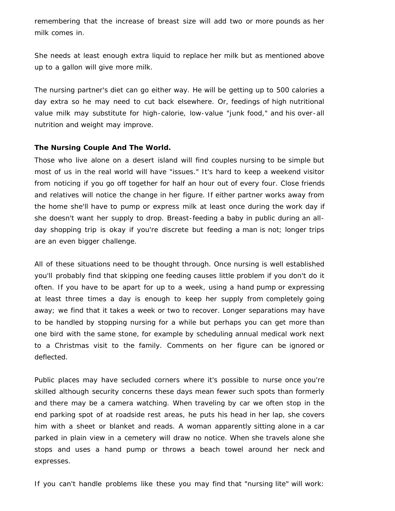remembering that the increase of breast size will add two or more pounds as her milk comes in.

She needs at least enough extra liquid to replace her milk but as mentioned above up to a gallon will give more milk.

The nursing partner's diet can go either way. He will be getting up to 500 calories a day extra so he may need to cut back elsewhere. Or, feedings of high nutritional value milk may substitute for high-calorie, low-value "junk food," and his over-all nutrition and weight may improve.

## **The Nursing Couple And The World.**

Those who live alone on a desert island will find couples nursing to be simple but most of us in the real world will have "issues." It's hard to keep a weekend visitor from noticing if you go off together for half an hour out of every four. Close friends and relatives will notice the change in her figure. If either partner works away from the home she'll have to pump or express milk at least once during the work day if she doesn't want her supply to drop. Breast-feeding a baby in public during an allday shopping trip is okay if you're discrete but feeding a man is not; longer trips are an even bigger challenge.

All of these situations need to be thought through. Once nursing is well established you'll probably find that skipping one feeding causes little problem if you don't do it often. If you have to be apart for up to a week, using a hand pump or expressing at least three times a day is enough to keep her supply from completely going away; we find that it takes a week or two to recover. Longer separations may have to be handled by stopping nursing for a while but perhaps you can get more than one bird with the same stone, for example by scheduling annual medical work next to a Christmas visit to the family. Comments on her figure can be ignored or deflected.

Public places may have secluded corners where it's possible to nurse once you're skilled although security concerns these days mean fewer such spots than formerly and there may be a camera watching. When traveling by car we often stop in the end parking spot of at roadside rest areas, he puts his head in her lap, she covers him with a sheet or blanket and reads. A woman apparently sitting alone in a car parked in plain view in a cemetery will draw no notice. When she travels alone she stops and uses a hand pump or throws a beach towel around her neck and expresses.

If you can't handle problems like these you may find that "nursing lite" will work: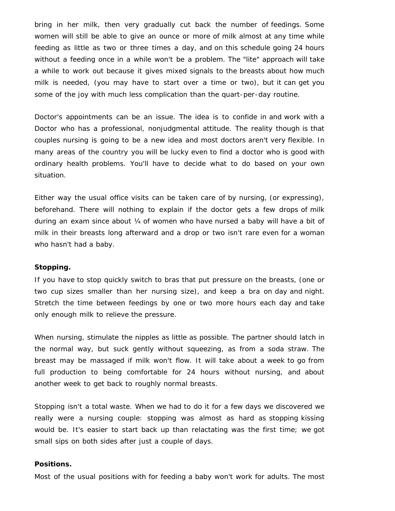bring in her milk, then very gradually cut back the number of feedings. Some women will still be able to give an ounce or more of milk almost at any time while feeding as little as two or three times a day, and on this schedule going 24 hours without a feeding once in a while won't be a problem. The "lite" approach will take a while to work out because it gives mixed signals to the breasts about how much milk is needed, (you may have to start over a time or two), but it can get you some of the joy with much less complication than the quart-per-day routine.

Doctor's appointments can be an issue. The idea is to confide in and work with a Doctor who has a professional, nonjudgmental attitude. The reality though is that couples nursing is going to be a new idea and most doctors aren't very flexible. In many areas of the country you will be lucky even to find a doctor who is good with ordinary health problems. You'll have to decide what to do based on your own situation.

Either way the usual office visits can be taken care of by nursing, (or expressing), beforehand. There will nothing to explain if the doctor gets a few drops of milk during an exam since about ¼ of women who have nursed a baby will have a bit of milk in their breasts long afterward and a drop or two isn't rare even for a woman who hasn't had a baby.

## **Stopping.**

If you have to stop quickly switch to bras that put pressure on the breasts, (one or two cup sizes smaller than her nursing size), and keep a bra on day and night. Stretch the time between feedings by one or two more hours each day and take only enough milk to relieve the pressure.

When nursing, stimulate the nipples as little as possible. The partner should latch in the normal way, but suck gently without squeezing, as from a soda straw. The breast may be massaged if milk won't flow. It will take about a week to go from full production to being comfortable for 24 hours without nursing, and about another week to get back to roughly normal breasts.

Stopping isn't a total waste. When we had to do it for a few days we discovered we really were a nursing couple: stopping was almost as hard as stopping kissing would be. It's easier to start back up than relactating was the first time; we got small sips on both sides after just a couple of days.

## **Positions.**

Most of the usual positions with for feeding a baby won't work for adults. The most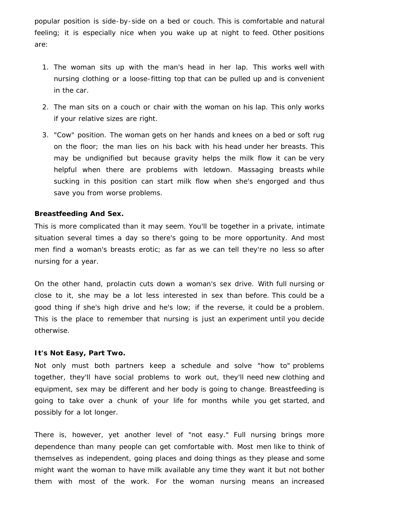popular position is side-by-side on a bed or couch. This is comfortable and natural feeling; it is especially nice when you wake up at night to feed. Other positions are:

- 1. The woman sits up with the man's head in her lap. This works well with nursing clothing or a loose-fitting top that can be pulled up and is convenient in the car.
- 2. The man sits on a couch or chair with the woman on his lap. This only works if your relative sizes are right.
- 3. "Cow" position. The woman gets on her hands and knees on a bed or soft rug on the floor; the man lies on his back with his head under her breasts. This may be undignified but because gravity helps the milk flow it can be very helpful when there are problems with letdown. Massaging breasts while sucking in this position can start milk flow when she's engorged and thus save you from worse problems.

## **Breastfeeding And Sex.**

This is more complicated than it may seem. You'll be together in a private, intimate situation several times a day so there's going to be more opportunity. And most men find a woman's breasts erotic; as far as we can tell they're no less so after nursing for a year.

On the other hand, prolactin cuts down a woman's sex drive. With full nursing or close to it, she may be a lot less interested in sex than before. This could be a good thing if she's high drive and he's low; if the reverse, it could be a problem. This is the place to remember that nursing is just an experiment until you decide otherwise.

# **It's Not Easy, Part Two.**

Not only must both partners keep a schedule and solve "how to" problems together, they'll have social problems to work out, they'll need new clothing and equipment, sex may be different and her body is going to change. Breastfeeding is going to take over a chunk of your life for months while you get started, and possibly for a lot longer.

There is, however, yet another level of "not easy." Full nursing brings more dependence than many people can get comfortable with. Most men like to think of themselves as independent, going places and doing things as they please and some might want the woman to have milk available any time they want it but not bother them with most of the work. For the woman nursing means an increased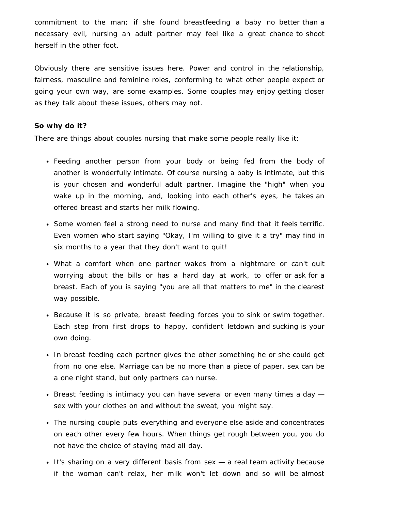commitment to the man; if she found breastfeeding a baby no better than a necessary evil, nursing an adult partner may feel like a great chance to shoot herself in the other foot.

Obviously there are sensitive issues here. Power and control in the relationship, fairness, masculine and feminine roles, conforming to what other people expect or going your own way, are some examples. Some couples may enjoy getting closer as they talk about these issues, others may not.

# **So why do it?**

There are things about couples nursing that make some people really like it:

- Feeding another person from your body or being fed from the body of another is wonderfully intimate. Of course nursing a baby is intimate, but this is your chosen and wonderful adult partner. Imagine the "high" when you wake up in the morning, and, looking into each other's eyes, he takes an offered breast and starts her milk flowing.
- Some women feel a strong need to nurse and many find that it feels terrific. Even women who start saying "Okay, I'm willing to give it a try" may find in six months to a year that they don't want to quit!
- What a comfort when one partner wakes from a nightmare or can't quit worrying about the bills or has a hard day at work, to offer or ask for a breast. Each of you is saying "you are all that matters to me" in the clearest way possible.
- Because it is so private, breast feeding forces you to sink or swim together. Each step from first drops to happy, confident letdown and sucking is your own doing.
- In breast feeding each partner gives the other something he or she could get from no one else. Marriage can be no more than a piece of paper, sex can be a one night stand, but only partners can nurse.
- Breast feeding is intimacy you can have several or even many times a day  $$ sex with your clothes on and without the sweat, you might say.
- The nursing couple puts everything and everyone else aside and concentrates on each other every few hours. When things get rough between you, you do not have the choice of staying mad all day.
- It's sharing on a very different basis from sex a real team activity because if the woman can't relax, her milk won't let down and so will be almost